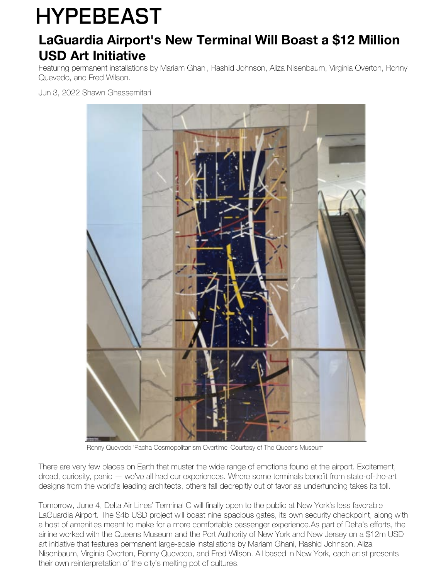## **HYPEBEAST**

## **LaGuardia Airport's New Terminal Will Boast a \$12 Million USD Art Initiative**

Featuring permanent installations by Mariam Ghani, Rashid Johnson, Aliza Nisenbaum, Virginia Overton, Ronny Quevedo, and Fred Wilson.

Jun 3, 2022 Shawn Ghassemitari



Ronny Quevedo 'Pacha Cosmopolitanism Overtime' Courtesy of The Queens Museum

There are very few places on Earth that muster the wide range of emotions found at the airport. Excitement, dread, curiosity, panic — we've all had our experiences. Where some terminals benefit from state-of-the-art designs from the world's leading architects, others fall decrepitly out of favor as underfunding takes its toll.

Tomorrow, June 4, Delta Air Lines' Terminal C will finally open to the public at New York's less favorable LaGuardia Airport. The \$4b USD project will boast nine spacious gates, its own security checkpoint, along with a host of amenities meant to make for a more comfortable passenger experience.As part of Delta's efforts, the airline worked with the Queens Museum and the Port Authority of New York and New Jersey on a \$12m USD art initiative that features permanent large-scale installations by Mariam Ghani, Rashid Johnson, Aliza Nisenbaum, Virginia Overton, Ronny Quevedo, and Fred Wilson. All based in New York, each artist presents their own reinterpretation of the city's melting pot of cultures.